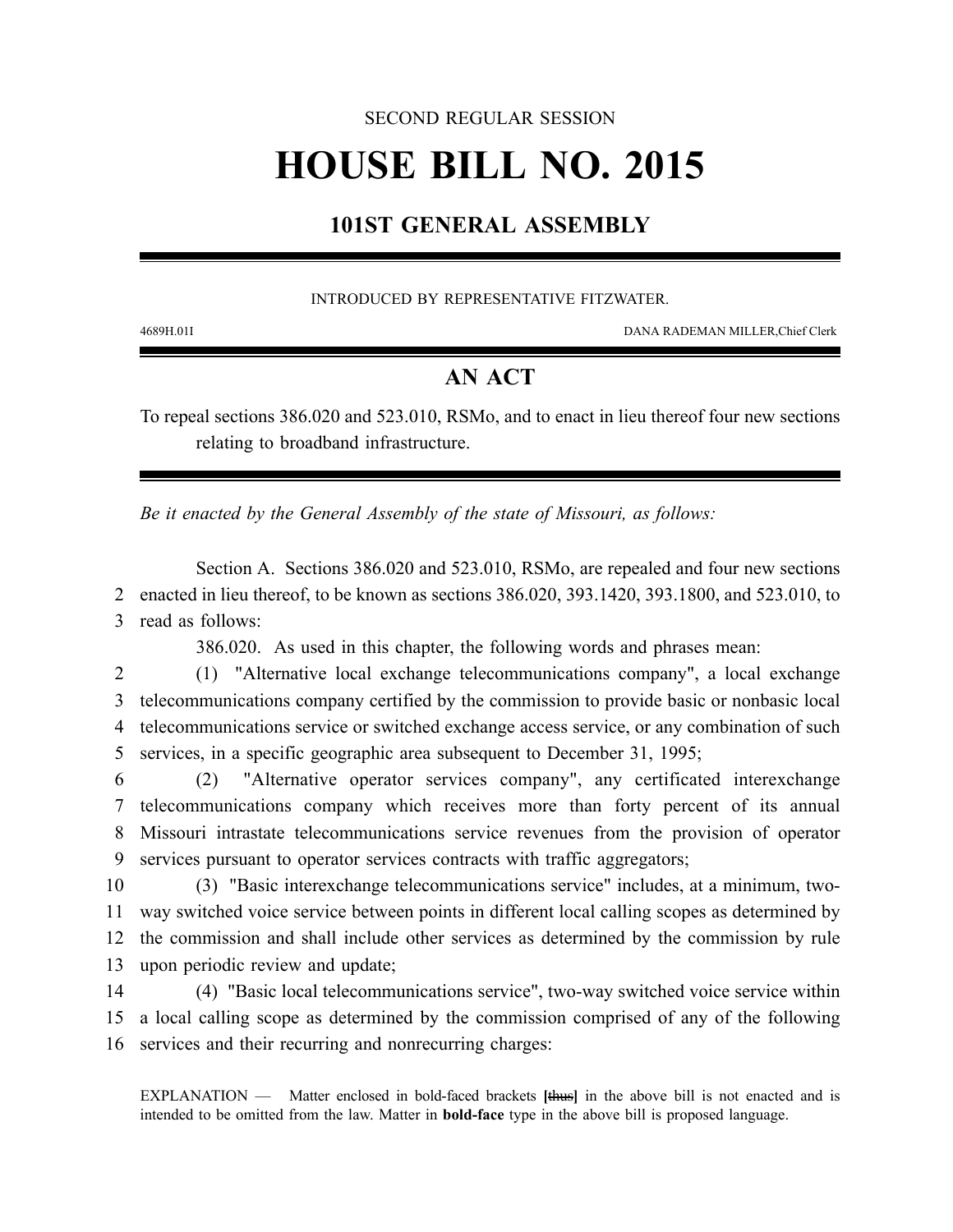#### SECOND REGULAR SESSION

# **HOUSE BILL NO. 2015**

## **101ST GENERAL ASSEMBLY**

#### INTRODUCED BY REPRESENTATIVE FITZWATER.

4689H.01I DANA RADEMAN MILLER,Chief Clerk

### **AN ACT**

To repeal sections 386.020 and 523.010, RSMo, and to enact in lieu thereof four new sections relating to broadband infrastructure.

*Be it enacted by the General Assembly of the state of Missouri, as follows:*

Section A. Sections 386.020 and 523.010, RSMo, are repealed and four new sections 2 enacted in lieu thereof, to be known as sections 386.020, 393.1420, 393.1800, and 523.010, to 3 read as follows:

386.020. As used in this chapter, the following words and phrases mean:

2 (1) "Alternative local exchange telecommunications company", a local exchange 3 telecommunications company certified by the commission to provide basic or nonbasic local 4 telecommunications service or switched exchange access service, or any combination of such 5 services, in a specific geographic area subsequent to December 31, 1995;

 (2) "Alternative operator services company", any certificated interexchange telecommunications company which receives more than forty percent of its annual Missouri intrastate telecommunications service revenues from the provision of operator 9 services pursuant to operator services contracts with traffic aggregators;

10 (3) "Basic interexchange telecommunications service" includes, at a minimum, two-11 way switched voice service between points in different local calling scopes as determined by 12 the commission and shall include other services as determined by the commission by rule 13 upon periodic review and update;

14 (4) "Basic local telecommunications service", two-way switched voice service within 15 a local calling scope as determined by the commission comprised of any of the following 16 services and their recurring and nonrecurring charges:

EXPLANATION — Matter enclosed in bold-faced brackets **[**thus**]** in the above bill is not enacted and is intended to be omitted from the law. Matter in **bold-face** type in the above bill is proposed language.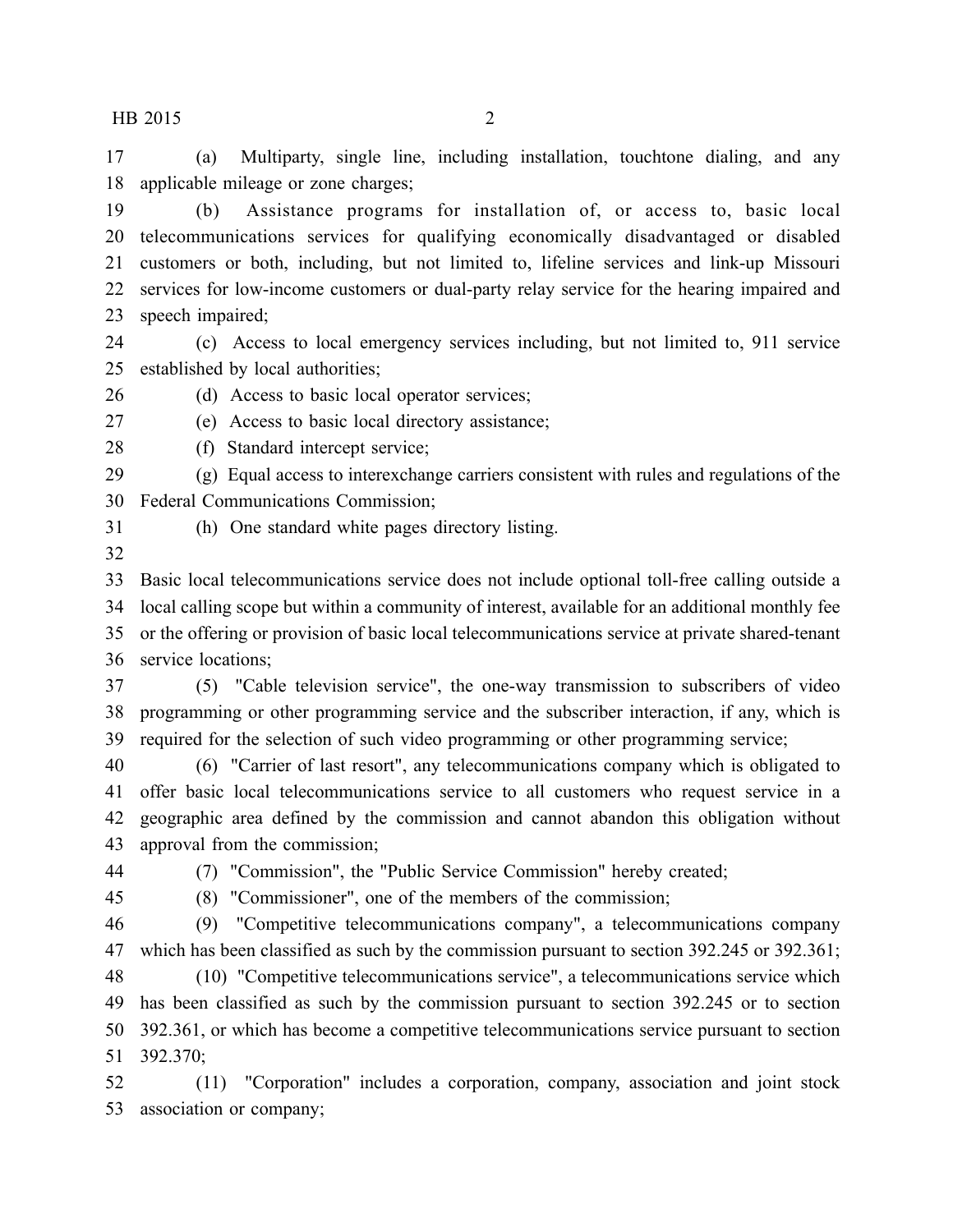(a) Multiparty, single line, including installation, touchtone dialing, and any applicable mileage or zone charges;

 (b) Assistance programs for installation of, or access to, basic local telecommunications services for qualifying economically disadvantaged or disabled customers or both, including, but not limited to, lifeline services and link-up Missouri services for low-income customers or dual-party relay service for the hearing impaired and speech impaired;

 (c) Access to local emergency services including, but not limited to, 911 service established by local authorities;

(d) Access to basic local operator services;

(e) Access to basic local directory assistance;

(f) Standard intercept service;

 (g) Equal access to interexchange carriers consistent with rules and regulations of the Federal Communications Commission;

(h) One standard white pages directory listing.

 Basic local telecommunications service does not include optional toll-free calling outside a local calling scope but within a community of interest, available for an additional monthly fee or the offering or provision of basic local telecommunications service at private shared-tenant service locations;

 (5) "Cable television service", the one-way transmission to subscribers of video programming or other programming service and the subscriber interaction, if any, which is required for the selection of such video programming or other programming service;

 (6) "Carrier of last resort", any telecommunications company which is obligated to offer basic local telecommunications service to all customers who request service in a geographic area defined by the commission and cannot abandon this obligation without approval from the commission;

(7) "Commission", the "Public Service Commission" hereby created;

(8) "Commissioner", one of the members of the commission;

 (9) "Competitive telecommunications company", a telecommunications company which has been classified as such by the commission pursuant to section 392.245 or 392.361;

 (10) "Competitive telecommunications service", a telecommunications service which has been classified as such by the commission pursuant to section 392.245 or to section 392.361, or which has become a competitive telecommunications service pursuant to section 392.370;

 (11) "Corporation" includes a corporation, company, association and joint stock association or company;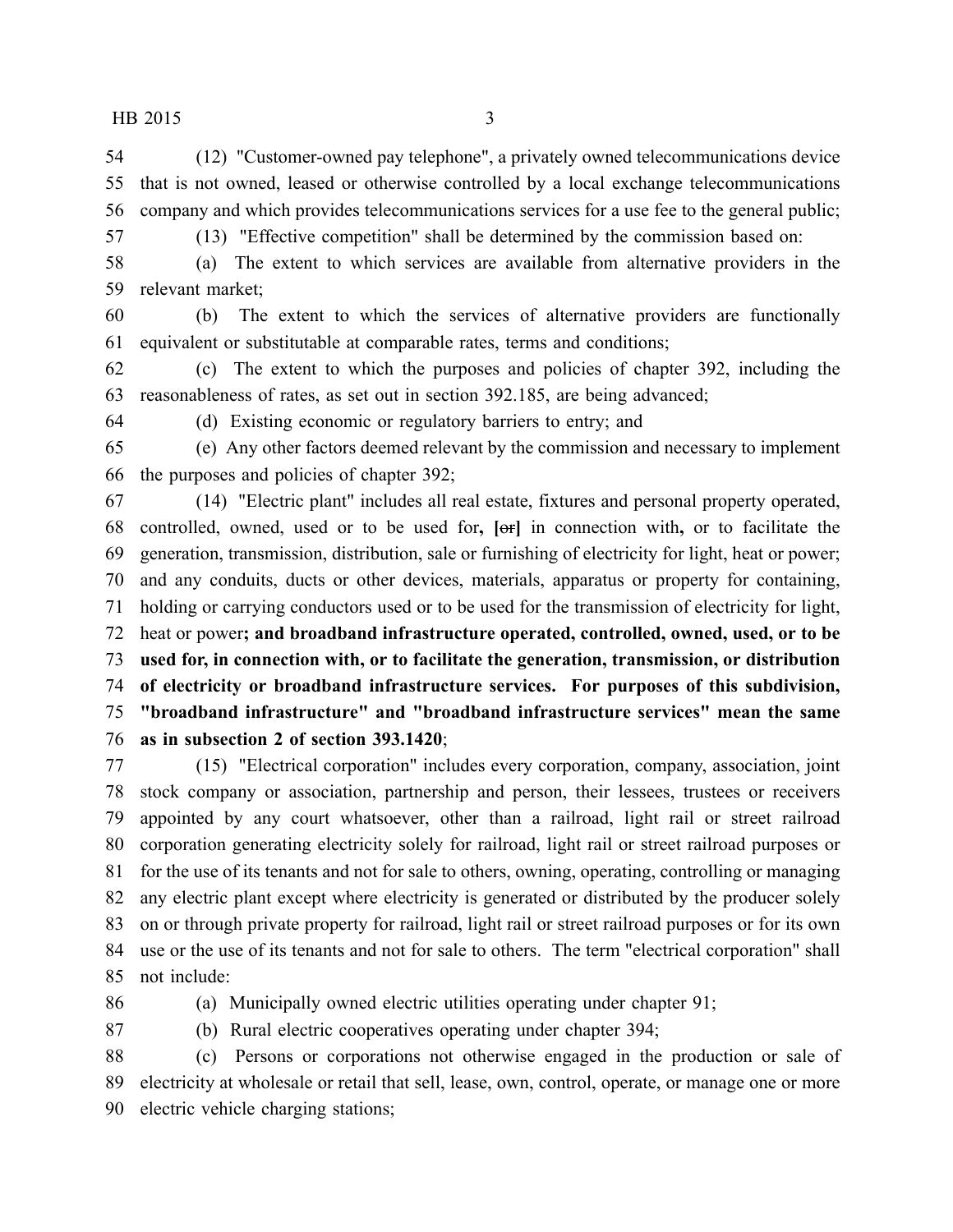(12) "Customer-owned pay telephone", a privately owned telecommunications device that is not owned, leased or otherwise controlled by a local exchange telecommunications company and which provides telecommunications services for a use fee to the general public;

(13) "Effective competition" shall be determined by the commission based on:

 (a) The extent to which services are available from alternative providers in the relevant market;

 (b) The extent to which the services of alternative providers are functionally equivalent or substitutable at comparable rates, terms and conditions;

 (c) The extent to which the purposes and policies of chapter 392, including the reasonableness of rates, as set out in section 392.185, are being advanced;

(d) Existing economic or regulatory barriers to entry; and

 (e) Any other factors deemed relevant by the commission and necessary to implement the purposes and policies of chapter 392;

 (14) "Electric plant" includes all real estate, fixtures and personal property operated, controlled, owned, used or to be used for**, [**or**]** in connection with**,** or to facilitate the generation, transmission, distribution, sale or furnishing of electricity for light, heat or power; and any conduits, ducts or other devices, materials, apparatus or property for containing, holding or carrying conductors used or to be used for the transmission of electricity for light, heat or power**; and broadband infrastructure operated, controlled, owned, used, or to be used for, in connection with, or to facilitate the generation, transmission, or distribution of electricity or broadband infrastructure services. For purposes of this subdivision, "broadband infrastructure" and "broadband infrastructure services" mean the same as in subsection 2 of section 393.1420**;

 (15) "Electrical corporation" includes every corporation, company, association, joint stock company or association, partnership and person, their lessees, trustees or receivers appointed by any court whatsoever, other than a railroad, light rail or street railroad corporation generating electricity solely for railroad, light rail or street railroad purposes or for the use of its tenants and not for sale to others, owning, operating, controlling or managing any electric plant except where electricity is generated or distributed by the producer solely on or through private property for railroad, light rail or street railroad purposes or for its own use or the use of its tenants and not for sale to others. The term "electrical corporation" shall not include:

(a) Municipally owned electric utilities operating under chapter 91;

(b) Rural electric cooperatives operating under chapter 394;

 (c) Persons or corporations not otherwise engaged in the production or sale of electricity at wholesale or retail that sell, lease, own, control, operate, or manage one or more electric vehicle charging stations;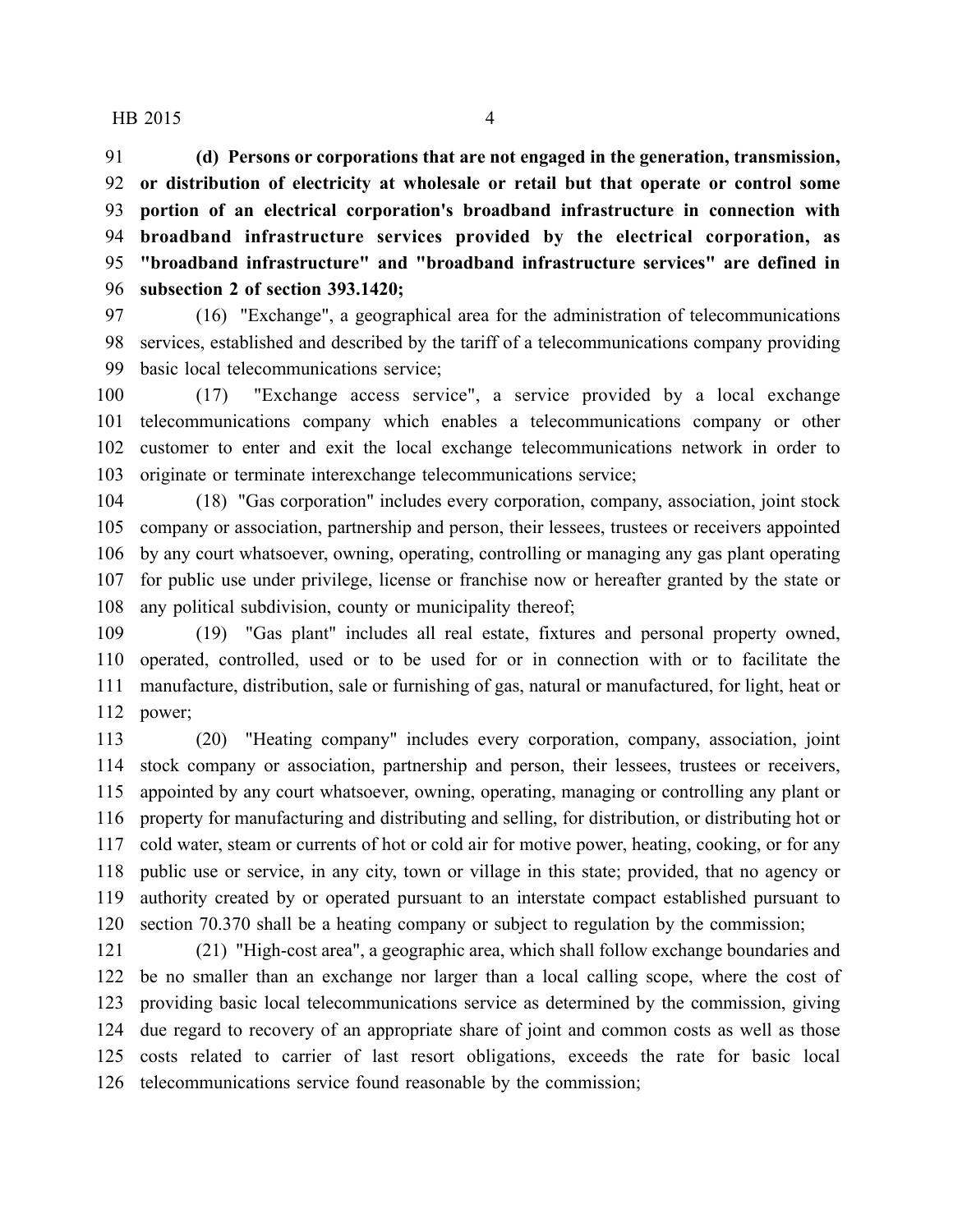**(d) Persons or corporations that are not engaged in the generation, transmission, or distribution of electricity at wholesale or retail but that operate or control some portion of an electrical corporation's broadband infrastructure in connection with broadband infrastructure services provided by the electrical corporation, as "broadband infrastructure" and "broadband infrastructure services" are defined in subsection 2 of section 393.1420;**

 (16) "Exchange", a geographical area for the administration of telecommunications services, established and described by the tariff of a telecommunications company providing basic local telecommunications service;

 (17) "Exchange access service", a service provided by a local exchange telecommunications company which enables a telecommunications company or other customer to enter and exit the local exchange telecommunications network in order to originate or terminate interexchange telecommunications service;

 (18) "Gas corporation" includes every corporation, company, association, joint stock company or association, partnership and person, their lessees, trustees or receivers appointed by any court whatsoever, owning, operating, controlling or managing any gas plant operating for public use under privilege, license or franchise now or hereafter granted by the state or any political subdivision, county or municipality thereof;

 (19) "Gas plant" includes all real estate, fixtures and personal property owned, operated, controlled, used or to be used for or in connection with or to facilitate the manufacture, distribution, sale or furnishing of gas, natural or manufactured, for light, heat or power;

 (20) "Heating company" includes every corporation, company, association, joint stock company or association, partnership and person, their lessees, trustees or receivers, appointed by any court whatsoever, owning, operating, managing or controlling any plant or property for manufacturing and distributing and selling, for distribution, or distributing hot or cold water, steam or currents of hot or cold air for motive power, heating, cooking, or for any public use or service, in any city, town or village in this state; provided, that no agency or authority created by or operated pursuant to an interstate compact established pursuant to section 70.370 shall be a heating company or subject to regulation by the commission;

 (21) "High-cost area", a geographic area, which shall follow exchange boundaries and be no smaller than an exchange nor larger than a local calling scope, where the cost of providing basic local telecommunications service as determined by the commission, giving due regard to recovery of an appropriate share of joint and common costs as well as those costs related to carrier of last resort obligations, exceeds the rate for basic local telecommunications service found reasonable by the commission;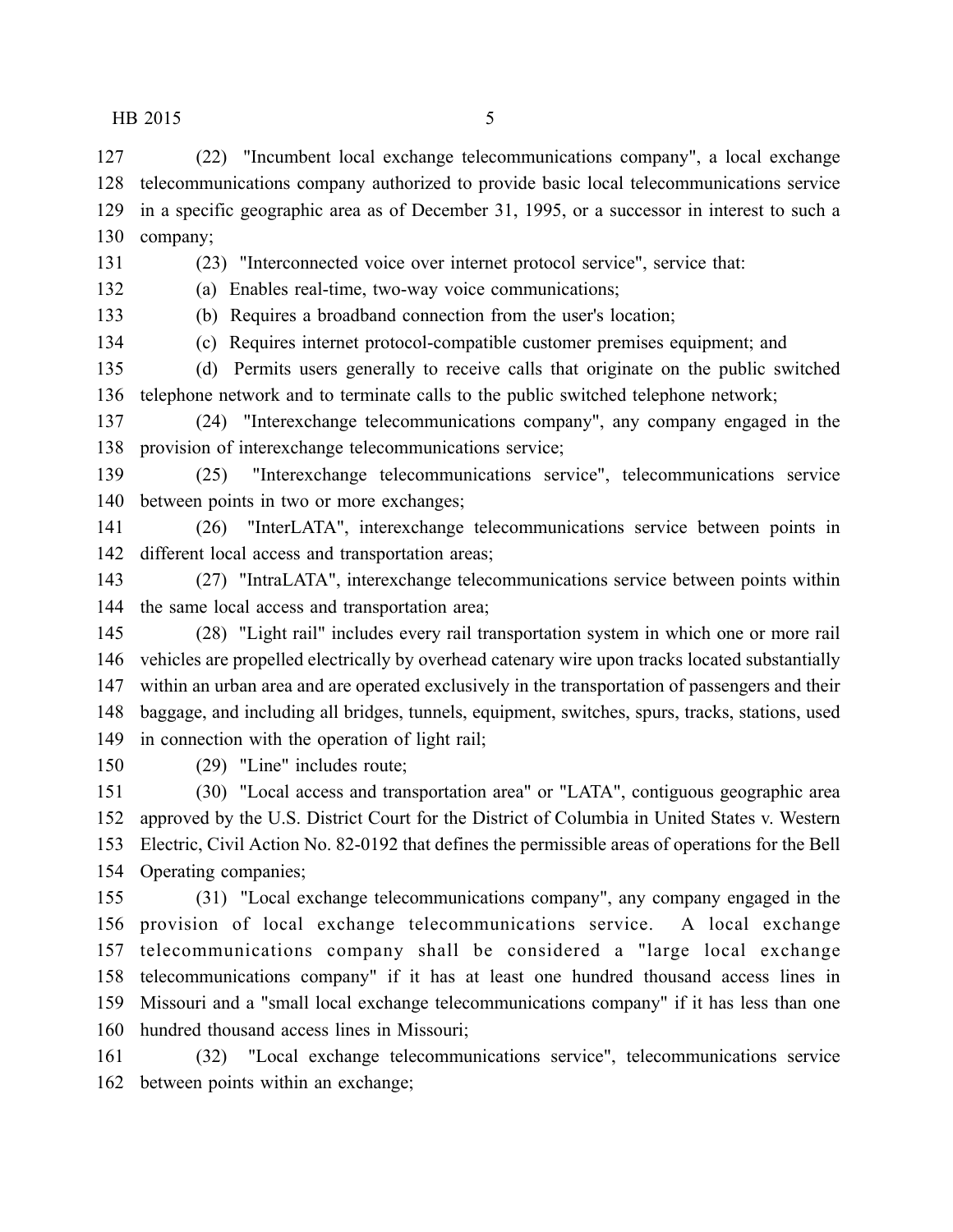(22) "Incumbent local exchange telecommunications company", a local exchange telecommunications company authorized to provide basic local telecommunications service in a specific geographic area as of December 31, 1995, or a successor in interest to such a company;

(23) "Interconnected voice over internet protocol service", service that:

(a) Enables real-time, two-way voice communications;

(b) Requires a broadband connection from the user's location;

(c) Requires internet protocol-compatible customer premises equipment; and

 (d) Permits users generally to receive calls that originate on the public switched telephone network and to terminate calls to the public switched telephone network;

 (24) "Interexchange telecommunications company", any company engaged in the provision of interexchange telecommunications service;

 (25) "Interexchange telecommunications service", telecommunications service between points in two or more exchanges;

 (26) "InterLATA", interexchange telecommunications service between points in different local access and transportation areas;

 (27) "IntraLATA", interexchange telecommunications service between points within the same local access and transportation area;

 (28) "Light rail" includes every rail transportation system in which one or more rail vehicles are propelled electrically by overhead catenary wire upon tracks located substantially within an urban area and are operated exclusively in the transportation of passengers and their baggage, and including all bridges, tunnels, equipment, switches, spurs, tracks, stations, used in connection with the operation of light rail;

(29) "Line" includes route;

 (30) "Local access and transportation area" or "LATA", contiguous geographic area approved by the U.S. District Court for the District of Columbia in United States v. Western Electric, Civil Action No. 82-0192 that defines the permissible areas of operations for the Bell Operating companies;

 (31) "Local exchange telecommunications company", any company engaged in the provision of local exchange telecommunications service. A local exchange telecommunications company shall be considered a "large local exchange telecommunications company" if it has at least one hundred thousand access lines in Missouri and a "small local exchange telecommunications company" if it has less than one hundred thousand access lines in Missouri;

 (32) "Local exchange telecommunications service", telecommunications service between points within an exchange;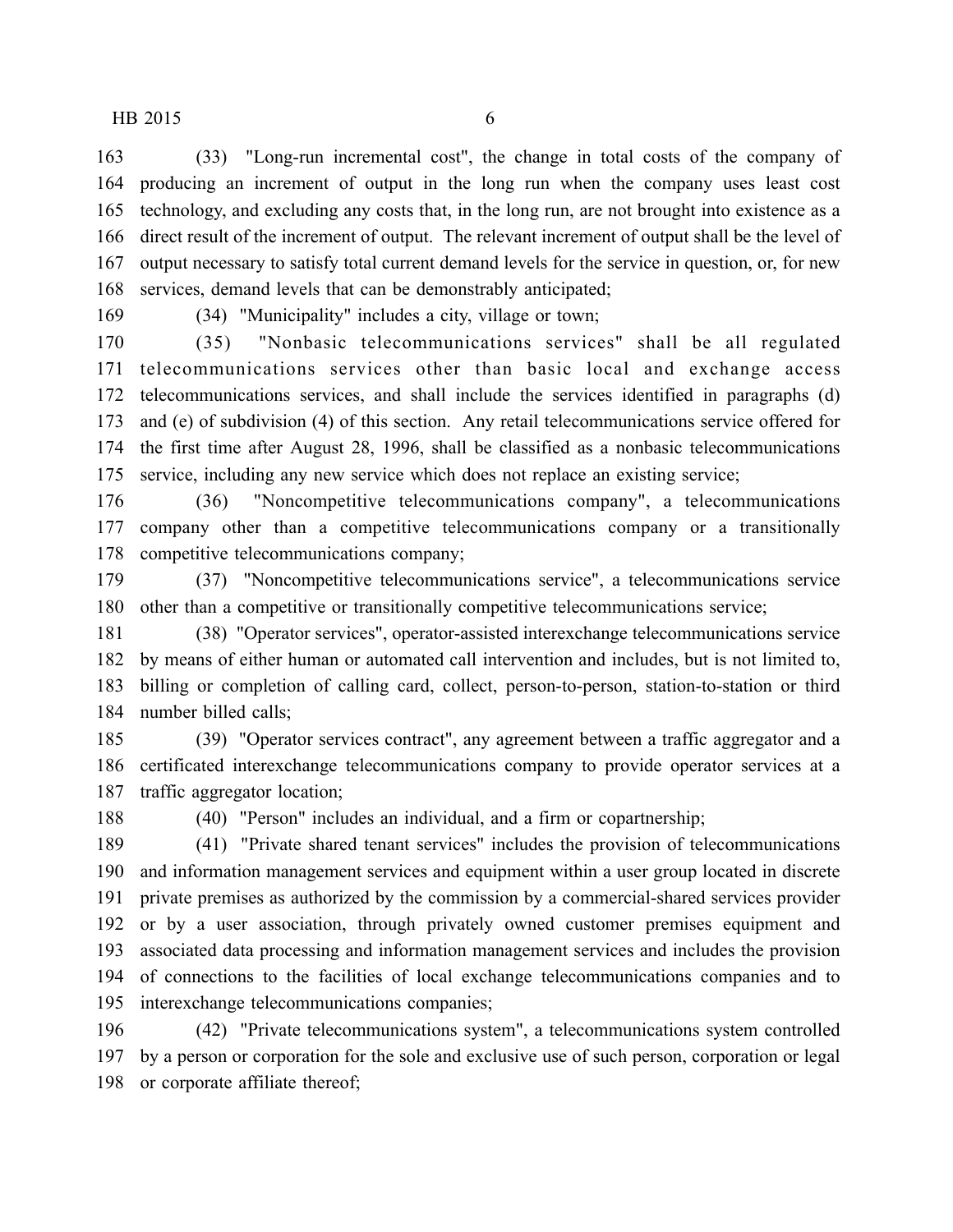(33) "Long-run incremental cost", the change in total costs of the company of producing an increment of output in the long run when the company uses least cost technology, and excluding any costs that, in the long run, are not brought into existence as a direct result of the increment of output. The relevant increment of output shall be the level of output necessary to satisfy total current demand levels for the service in question, or, for new services, demand levels that can be demonstrably anticipated;

(34) "Municipality" includes a city, village or town;

 (35) "Nonbasic telecommunications services" shall be all regulated telecommunications services other than basic local and exchange access telecommunications services, and shall include the services identified in paragraphs (d) and (e) of subdivision (4) of this section. Any retail telecommunications service offered for the first time after August 28, 1996, shall be classified as a nonbasic telecommunications service, including any new service which does not replace an existing service;

 (36) "Noncompetitive telecommunications company", a telecommunications company other than a competitive telecommunications company or a transitionally competitive telecommunications company;

 (37) "Noncompetitive telecommunications service", a telecommunications service other than a competitive or transitionally competitive telecommunications service;

 (38) "Operator services", operator-assisted interexchange telecommunications service by means of either human or automated call intervention and includes, but is not limited to, billing or completion of calling card, collect, person-to-person, station-to-station or third number billed calls;

 (39) "Operator services contract", any agreement between a traffic aggregator and a certificated interexchange telecommunications company to provide operator services at a traffic aggregator location;

(40) "Person" includes an individual, and a firm or copartnership;

 (41) "Private shared tenant services" includes the provision of telecommunications and information management services and equipment within a user group located in discrete private premises as authorized by the commission by a commercial-shared services provider or by a user association, through privately owned customer premises equipment and associated data processing and information management services and includes the provision of connections to the facilities of local exchange telecommunications companies and to interexchange telecommunications companies;

 (42) "Private telecommunications system", a telecommunications system controlled by a person or corporation for the sole and exclusive use of such person, corporation or legal or corporate affiliate thereof;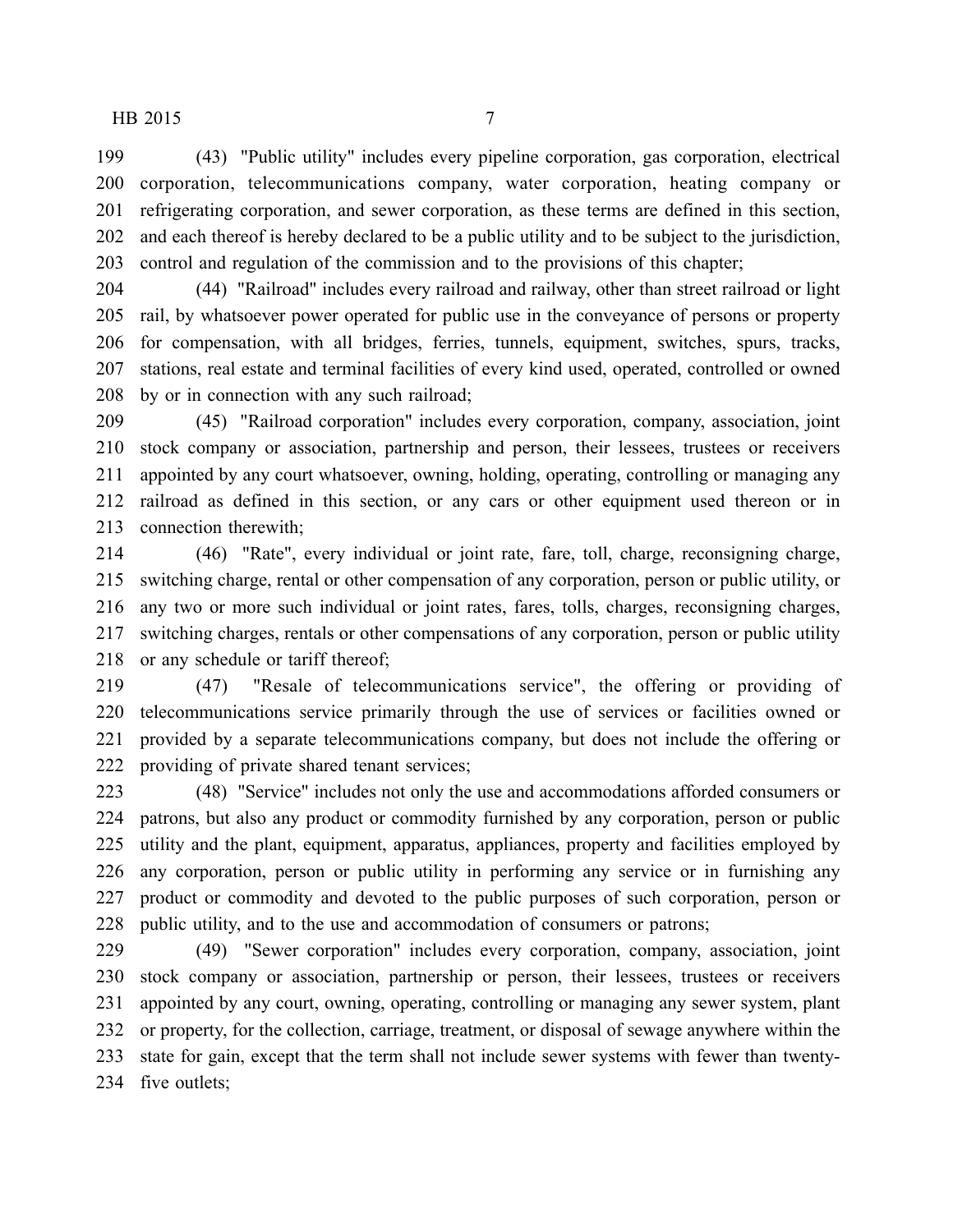(43) "Public utility" includes every pipeline corporation, gas corporation, electrical corporation, telecommunications company, water corporation, heating company or refrigerating corporation, and sewer corporation, as these terms are defined in this section, and each thereof is hereby declared to be a public utility and to be subject to the jurisdiction, control and regulation of the commission and to the provisions of this chapter;

 (44) "Railroad" includes every railroad and railway, other than street railroad or light rail, by whatsoever power operated for public use in the conveyance of persons or property for compensation, with all bridges, ferries, tunnels, equipment, switches, spurs, tracks, stations, real estate and terminal facilities of every kind used, operated, controlled or owned by or in connection with any such railroad;

 (45) "Railroad corporation" includes every corporation, company, association, joint stock company or association, partnership and person, their lessees, trustees or receivers appointed by any court whatsoever, owning, holding, operating, controlling or managing any railroad as defined in this section, or any cars or other equipment used thereon or in connection therewith;

 (46) "Rate", every individual or joint rate, fare, toll, charge, reconsigning charge, switching charge, rental or other compensation of any corporation, person or public utility, or any two or more such individual or joint rates, fares, tolls, charges, reconsigning charges, switching charges, rentals or other compensations of any corporation, person or public utility 218 or any schedule or tariff thereof;

 (47) "Resale of telecommunications service", the offering or providing of telecommunications service primarily through the use of services or facilities owned or provided by a separate telecommunications company, but does not include the offering or providing of private shared tenant services;

 (48) "Service" includes not only the use and accommodations afforded consumers or patrons, but also any product or commodity furnished by any corporation, person or public utility and the plant, equipment, apparatus, appliances, property and facilities employed by any corporation, person or public utility in performing any service or in furnishing any product or commodity and devoted to the public purposes of such corporation, person or public utility, and to the use and accommodation of consumers or patrons;

 (49) "Sewer corporation" includes every corporation, company, association, joint stock company or association, partnership or person, their lessees, trustees or receivers appointed by any court, owning, operating, controlling or managing any sewer system, plant or property, for the collection, carriage, treatment, or disposal of sewage anywhere within the state for gain, except that the term shall not include sewer systems with fewer than twenty-five outlets;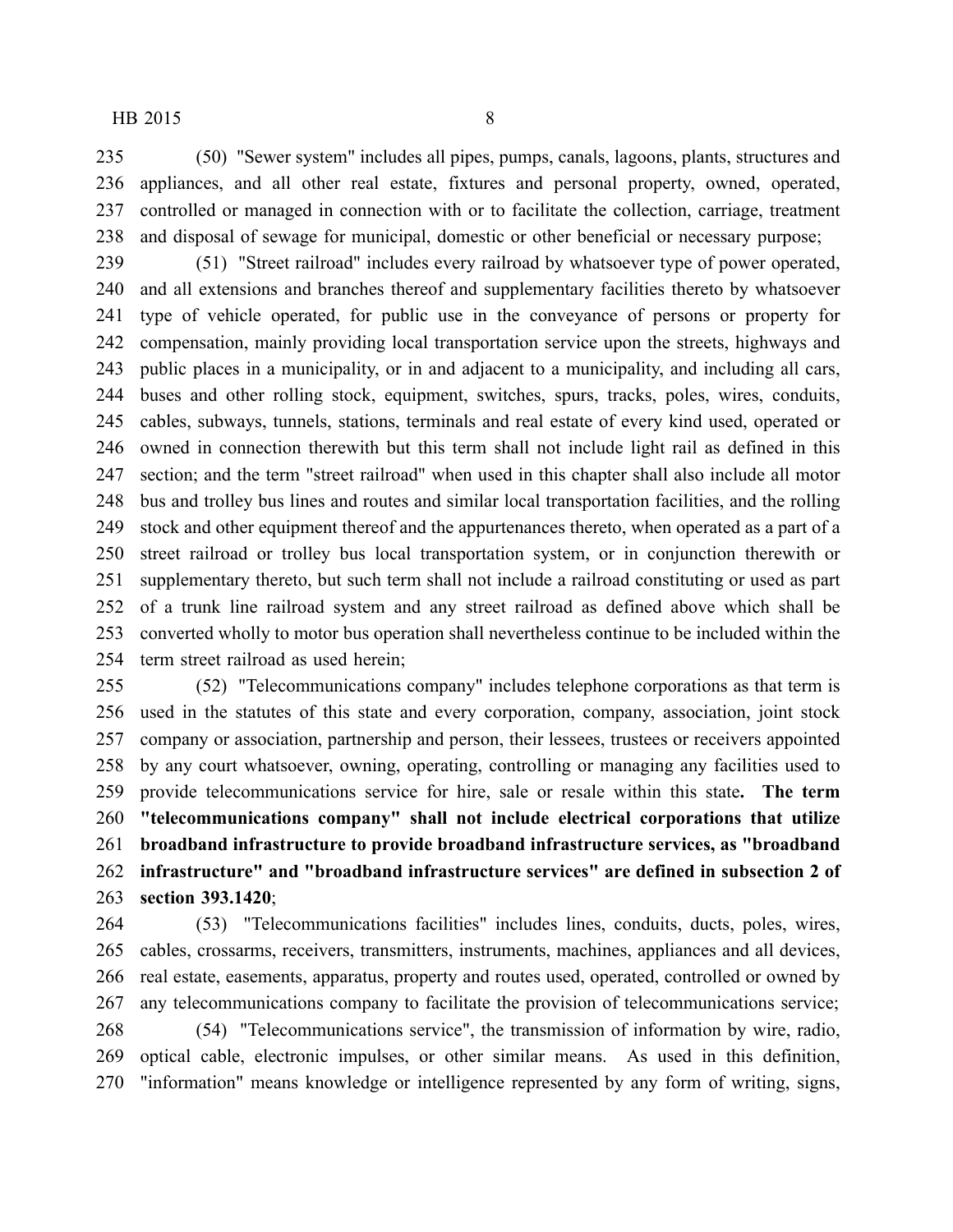(50) "Sewer system" includes all pipes, pumps, canals, lagoons, plants, structures and appliances, and all other real estate, fixtures and personal property, owned, operated, controlled or managed in connection with or to facilitate the collection, carriage, treatment and disposal of sewage for municipal, domestic or other beneficial or necessary purpose;

 (51) "Street railroad" includes every railroad by whatsoever type of power operated, and all extensions and branches thereof and supplementary facilities thereto by whatsoever type of vehicle operated, for public use in the conveyance of persons or property for compensation, mainly providing local transportation service upon the streets, highways and public places in a municipality, or in and adjacent to a municipality, and including all cars, buses and other rolling stock, equipment, switches, spurs, tracks, poles, wires, conduits, cables, subways, tunnels, stations, terminals and real estate of every kind used, operated or owned in connection therewith but this term shall not include light rail as defined in this section; and the term "street railroad" when used in this chapter shall also include all motor bus and trolley bus lines and routes and similar local transportation facilities, and the rolling stock and other equipment thereof and the appurtenances thereto, when operated as a part of a street railroad or trolley bus local transportation system, or in conjunction therewith or supplementary thereto, but such term shall not include a railroad constituting or used as part of a trunk line railroad system and any street railroad as defined above which shall be converted wholly to motor bus operation shall nevertheless continue to be included within the term street railroad as used herein;

 (52) "Telecommunications company" includes telephone corporations as that term is used in the statutes of this state and every corporation, company, association, joint stock company or association, partnership and person, their lessees, trustees or receivers appointed by any court whatsoever, owning, operating, controlling or managing any facilities used to provide telecommunications service for hire, sale or resale within this state**. The term "telecommunications company" shall not include electrical corporations that utilize broadband infrastructure to provide broadband infrastructure services, as "broadband infrastructure" and "broadband infrastructure services" are defined in subsection 2 of section 393.1420**;

 (53) "Telecommunications facilities" includes lines, conduits, ducts, poles, wires, cables, crossarms, receivers, transmitters, instruments, machines, appliances and all devices, real estate, easements, apparatus, property and routes used, operated, controlled or owned by any telecommunications company to facilitate the provision of telecommunications service; (54) "Telecommunications service", the transmission of information by wire, radio, optical cable, electronic impulses, or other similar means. As used in this definition, "information" means knowledge or intelligence represented by any form of writing, signs,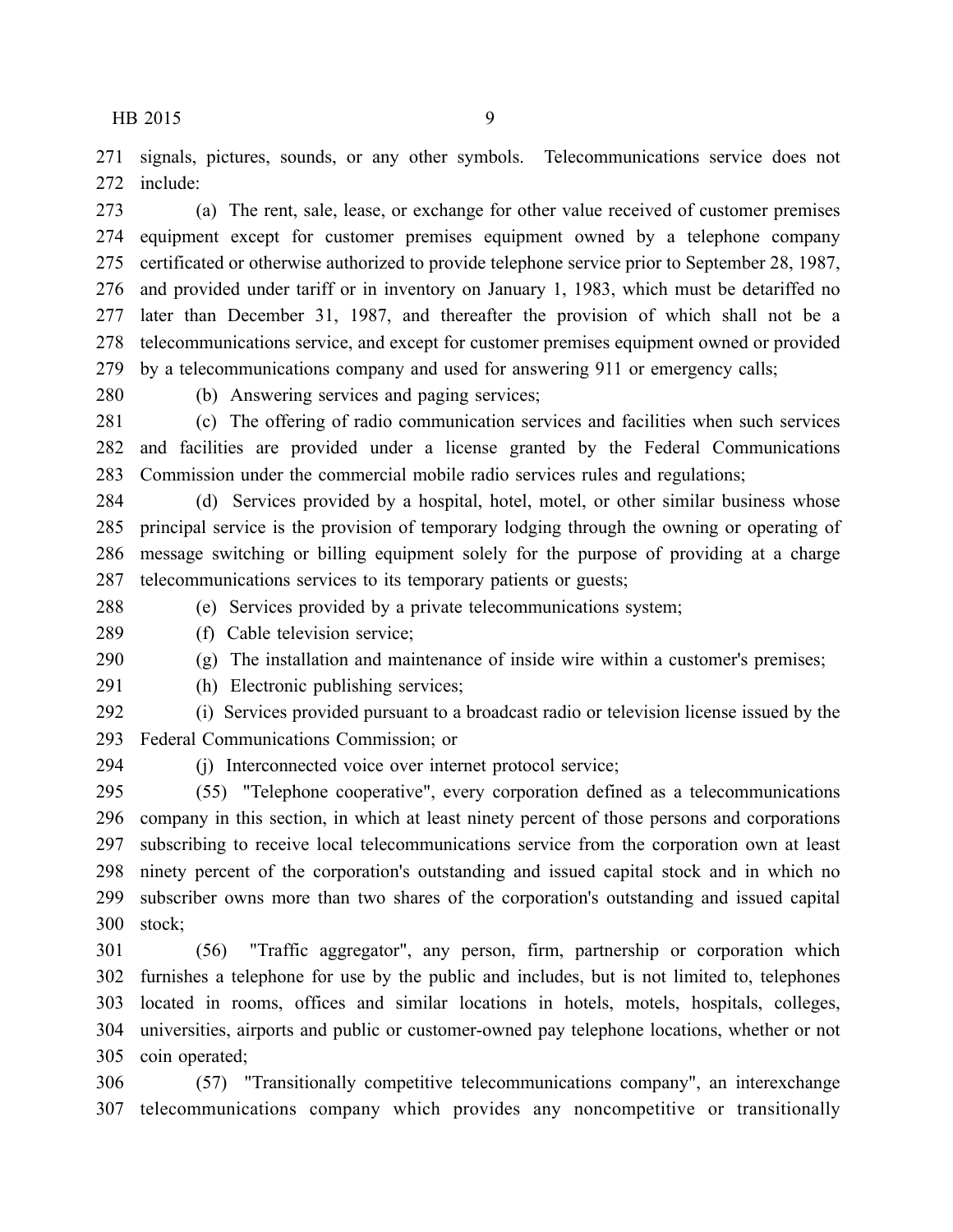signals, pictures, sounds, or any other symbols. Telecommunications service does not include:

 (a) The rent, sale, lease, or exchange for other value received of customer premises equipment except for customer premises equipment owned by a telephone company certificated or otherwise authorized to provide telephone service prior to September 28, 1987, and provided under tariff or in inventory on January 1, 1983, which must be detariffed no later than December 31, 1987, and thereafter the provision of which shall not be a telecommunications service, and except for customer premises equipment owned or provided by a telecommunications company and used for answering 911 or emergency calls;

(b) Answering services and paging services;

 (c) The offering of radio communication services and facilities when such services and facilities are provided under a license granted by the Federal Communications Commission under the commercial mobile radio services rules and regulations;

 (d) Services provided by a hospital, hotel, motel, or other similar business whose principal service is the provision of temporary lodging through the owning or operating of message switching or billing equipment solely for the purpose of providing at a charge telecommunications services to its temporary patients or guests;

(e) Services provided by a private telecommunications system;

(f) Cable television service;

(g) The installation and maintenance of inside wire within a customer's premises;

(h) Electronic publishing services;

 (i) Services provided pursuant to a broadcast radio or television license issued by the Federal Communications Commission; or

(j) Interconnected voice over internet protocol service;

 (55) "Telephone cooperative", every corporation defined as a telecommunications company in this section, in which at least ninety percent of those persons and corporations subscribing to receive local telecommunications service from the corporation own at least ninety percent of the corporation's outstanding and issued capital stock and in which no subscriber owns more than two shares of the corporation's outstanding and issued capital stock;

 (56) "Traffic aggregator", any person, firm, partnership or corporation which furnishes a telephone for use by the public and includes, but is not limited to, telephones located in rooms, offices and similar locations in hotels, motels, hospitals, colleges, universities, airports and public or customer-owned pay telephone locations, whether or not coin operated;

 (57) "Transitionally competitive telecommunications company", an interexchange telecommunications company which provides any noncompetitive or transitionally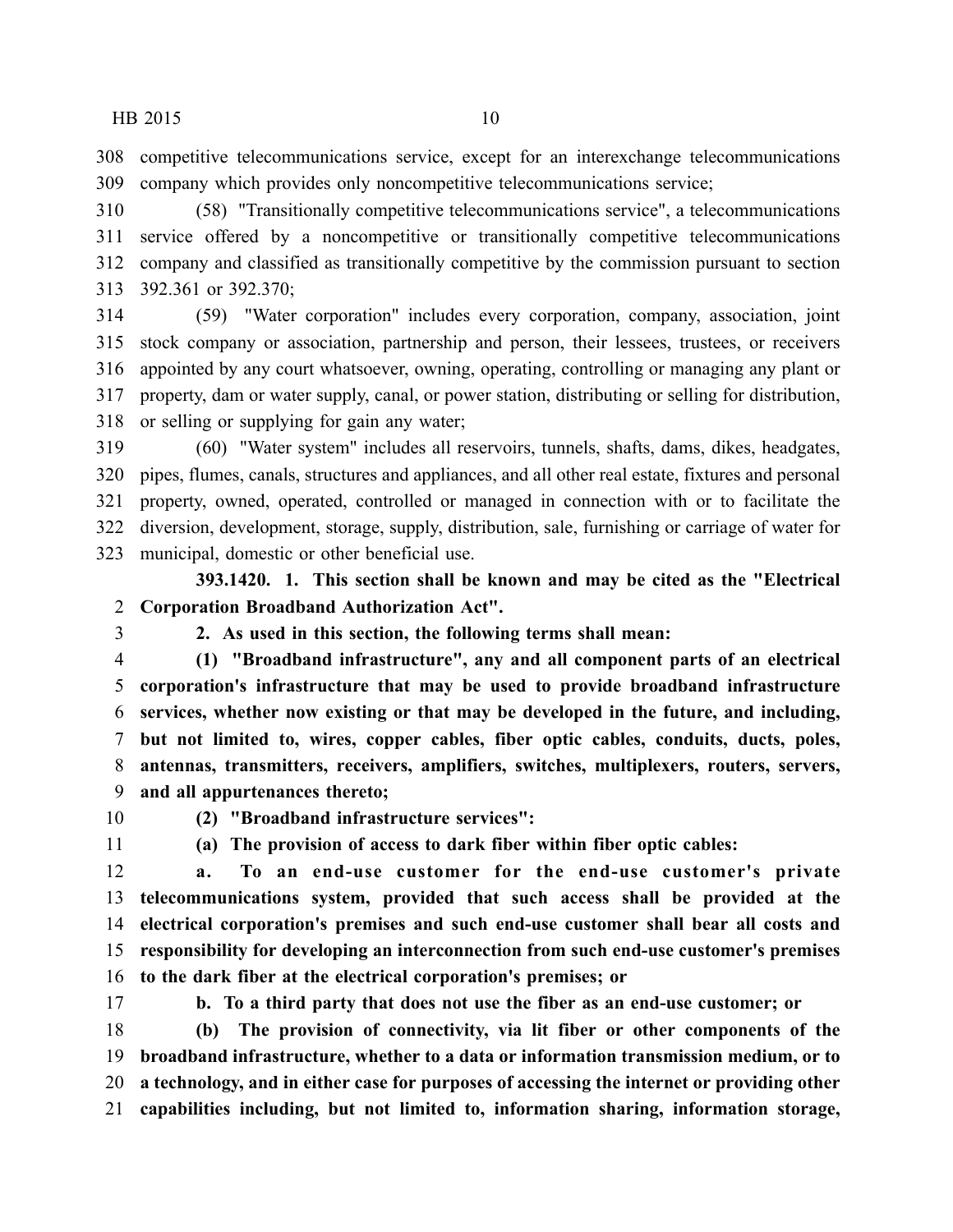competitive telecommunications service, except for an interexchange telecommunications company which provides only noncompetitive telecommunications service;

 (58) "Transitionally competitive telecommunications service", a telecommunications service offered by a noncompetitive or transitionally competitive telecommunications company and classified as transitionally competitive by the commission pursuant to section 392.361 or 392.370;

 (59) "Water corporation" includes every corporation, company, association, joint stock company or association, partnership and person, their lessees, trustees, or receivers appointed by any court whatsoever, owning, operating, controlling or managing any plant or property, dam or water supply, canal, or power station, distributing or selling for distribution, or selling or supplying for gain any water;

 (60) "Water system" includes all reservoirs, tunnels, shafts, dams, dikes, headgates, pipes, flumes, canals, structures and appliances, and all other real estate, fixtures and personal property, owned, operated, controlled or managed in connection with or to facilitate the diversion, development, storage, supply, distribution, sale, furnishing or carriage of water for municipal, domestic or other beneficial use.

**393.1420. 1. This section shall be known and may be cited as the "Electrical Corporation Broadband Authorization Act".**

**2. As used in this section, the following terms shall mean:**

 **(1) "Broadband infrastructure", any and all component parts of an electrical corporation's infrastructure that may be used to provide broadband infrastructure services, whether now existing or that may be developed in the future, and including, but not limited to, wires, copper cables, fiber optic cables, conduits, ducts, poles, antennas, transmitters, receivers, amplifiers, switches, multiplexers, routers, servers, and all appurtenances thereto;**

**(2) "Broadband infrastructure services":**

**(a) The provision of access to dark fiber within fiber optic cables:**

 **a. To an end-use customer for the end-use customer's private telecommunications system, provided that such access shall be provided at the electrical corporation's premises and such end-use customer shall bear all costs and responsibility for developing an interconnection from such end-use customer's premises to the dark fiber at the electrical corporation's premises; or**

**b. To a third party that does not use the fiber as an end-use customer; or**

 **(b) The provision of connectivity, via lit fiber or other components of the broadband infrastructure, whether to a data or information transmission medium, or to a technology, and in either case for purposes of accessing the internet or providing other capabilities including, but not limited to, information sharing, information storage,**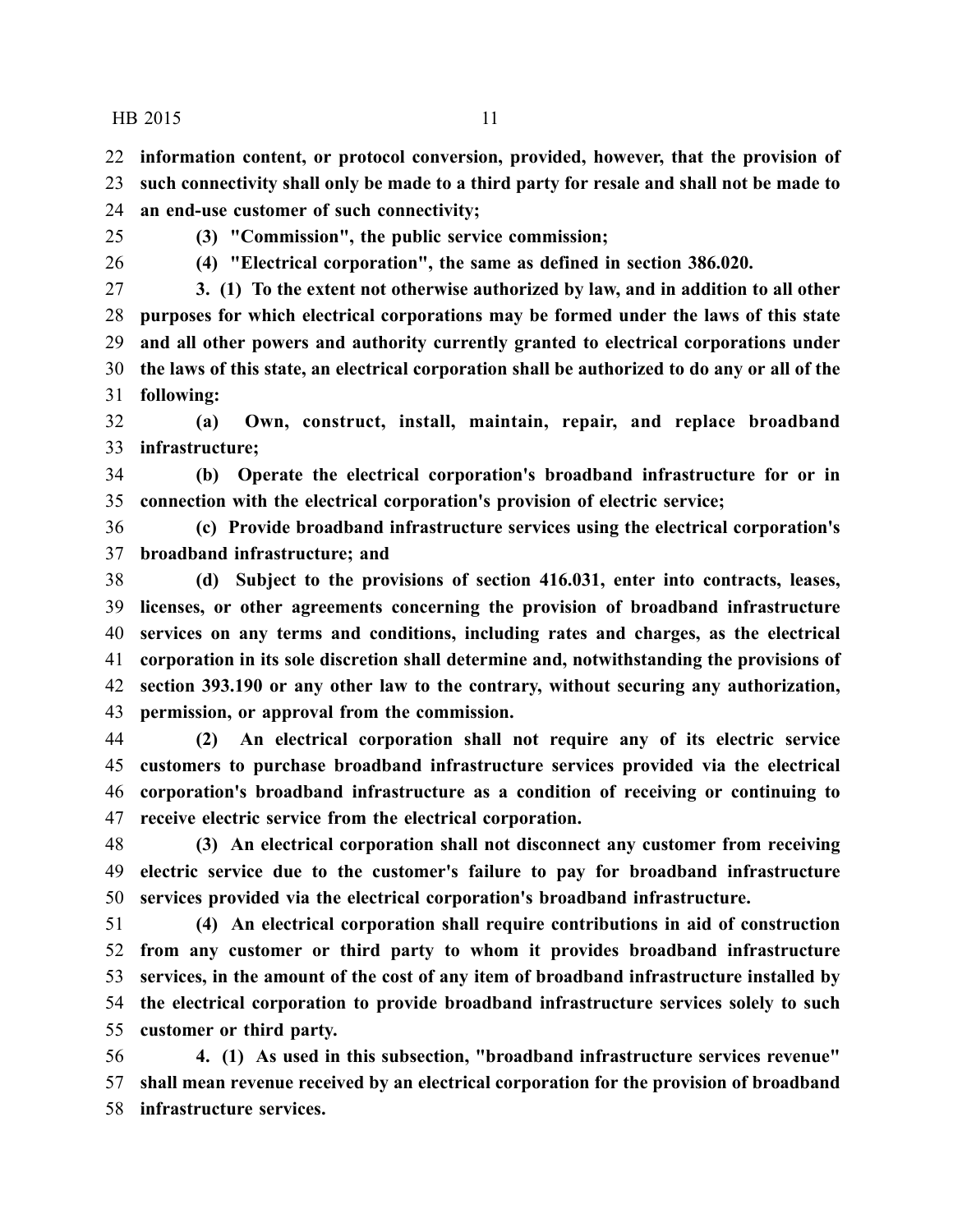**information content, or protocol conversion, provided, however, that the provision of**

 **such connectivity shall only be made to a third party for resale and shall not be made to an end-use customer of such connectivity;**

**(3) "Commission", the public service commission;**

**(4) "Electrical corporation", the same as defined in section 386.020.**

 **3. (1) To the extent not otherwise authorized by law, and in addition to all other purposes for which electrical corporations may be formed under the laws of this state and all other powers and authority currently granted to electrical corporations under the laws of this state, an electrical corporation shall be authorized to do any or all of the following:**

 **(a) Own, construct, install, maintain, repair, and replace broadband infrastructure;**

 **(b) Operate the electrical corporation's broadband infrastructure for or in connection with the electrical corporation's provision of electric service;**

 **(c) Provide broadband infrastructure services using the electrical corporation's broadband infrastructure; and**

 **(d) Subject to the provisions of section 416.031, enter into contracts, leases, licenses, or other agreements concerning the provision of broadband infrastructure services on any terms and conditions, including rates and charges, as the electrical corporation in its sole discretion shall determine and, notwithstanding the provisions of section 393.190 or any other law to the contrary, without securing any authorization, permission, or approval from the commission.**

 **(2) An electrical corporation shall not require any of its electric service customers to purchase broadband infrastructure services provided via the electrical corporation's broadband infrastructure as a condition of receiving or continuing to receive electric service from the electrical corporation.**

 **(3) An electrical corporation shall not disconnect any customer from receiving electric service due to the customer's failure to pay for broadband infrastructure services provided via the electrical corporation's broadband infrastructure.**

 **(4) An electrical corporation shall require contributions in aid of construction from any customer or third party to whom it provides broadband infrastructure services, in the amount of the cost of any item of broadband infrastructure installed by the electrical corporation to provide broadband infrastructure services solely to such customer or third party.**

 **4. (1) As used in this subsection, "broadband infrastructure services revenue" shall mean revenue received by an electrical corporation for the provision of broadband infrastructure services.**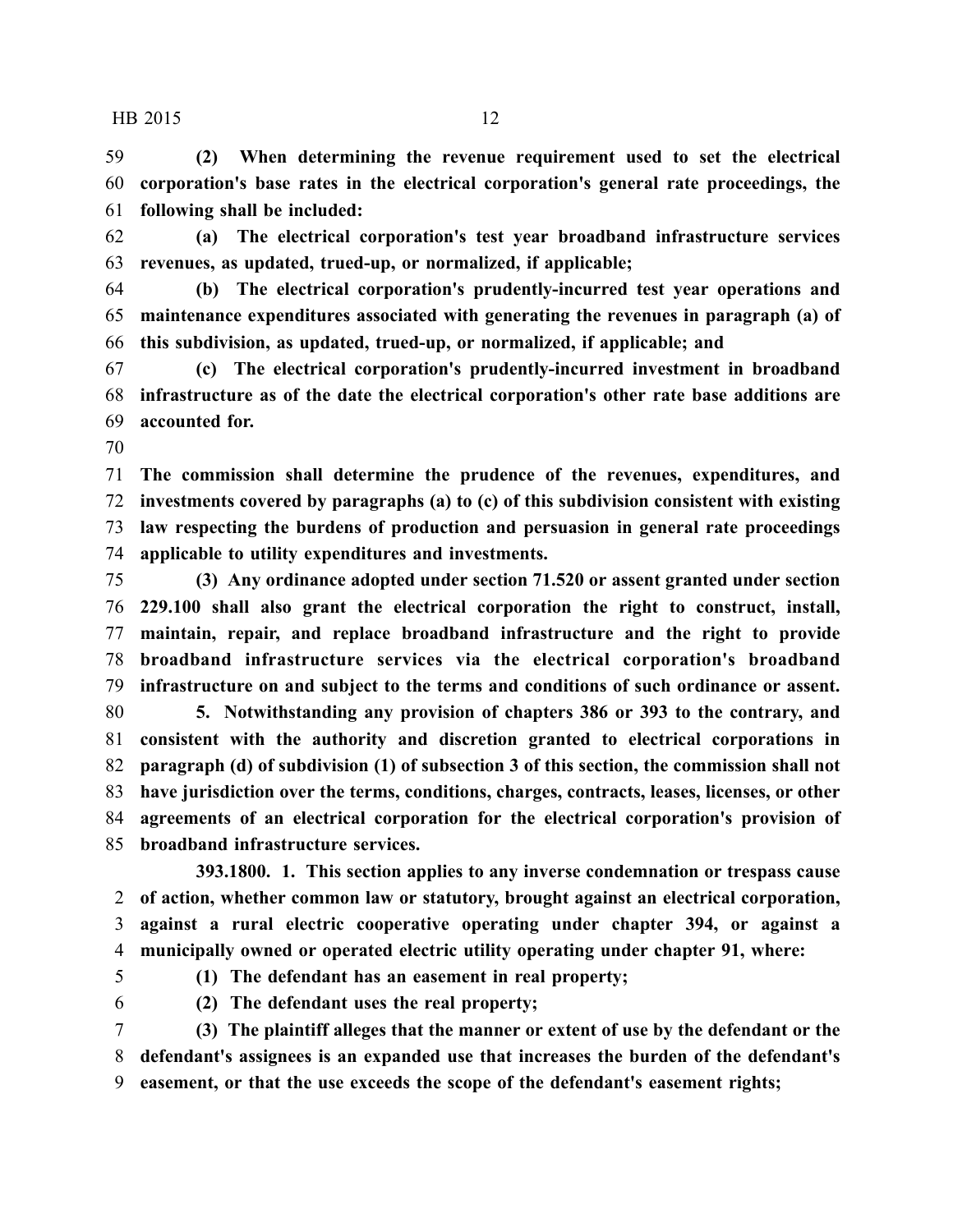**(2) When determining the revenue requirement used to set the electrical corporation's base rates in the electrical corporation's general rate proceedings, the following shall be included:**

 **(a) The electrical corporation's test year broadband infrastructure services revenues, as updated, trued-up, or normalized, if applicable;**

 **(b) The electrical corporation's prudently-incurred test year operations and maintenance expenditures associated with generating the revenues in paragraph (a) of this subdivision, as updated, trued-up, or normalized, if applicable; and**

 **(c) The electrical corporation's prudently-incurred investment in broadband infrastructure as of the date the electrical corporation's other rate base additions are accounted for.**

 **The commission shall determine the prudence of the revenues, expenditures, and investments covered by paragraphs (a) to (c) of this subdivision consistent with existing law respecting the burdens of production and persuasion in general rate proceedings applicable to utility expenditures and investments.**

 **(3) Any ordinance adopted under section 71.520 or assent granted under section 229.100 shall also grant the electrical corporation the right to construct, install, maintain, repair, and replace broadband infrastructure and the right to provide broadband infrastructure services via the electrical corporation's broadband infrastructure on and subject to the terms and conditions of such ordinance or assent.**

 **5. Notwithstanding any provision of chapters 386 or 393 to the contrary, and consistent with the authority and discretion granted to electrical corporations in paragraph (d) of subdivision (1) of subsection 3 of this section, the commission shall not have jurisdiction over the terms, conditions, charges, contracts, leases, licenses, or other agreements of an electrical corporation for the electrical corporation's provision of broadband infrastructure services.**

**393.1800. 1. This section applies to any inverse condemnation or trespass cause of action, whether common law or statutory, brought against an electrical corporation, against a rural electric cooperative operating under chapter 394, or against a municipally owned or operated electric utility operating under chapter 91, where:**

**(1) The defendant has an easement in real property;**

**(2) The defendant uses the real property;**

 **(3) The plaintiff alleges that the manner or extent of use by the defendant or the defendant's assignees is an expanded use that increases the burden of the defendant's easement, or that the use exceeds the scope of the defendant's easement rights;**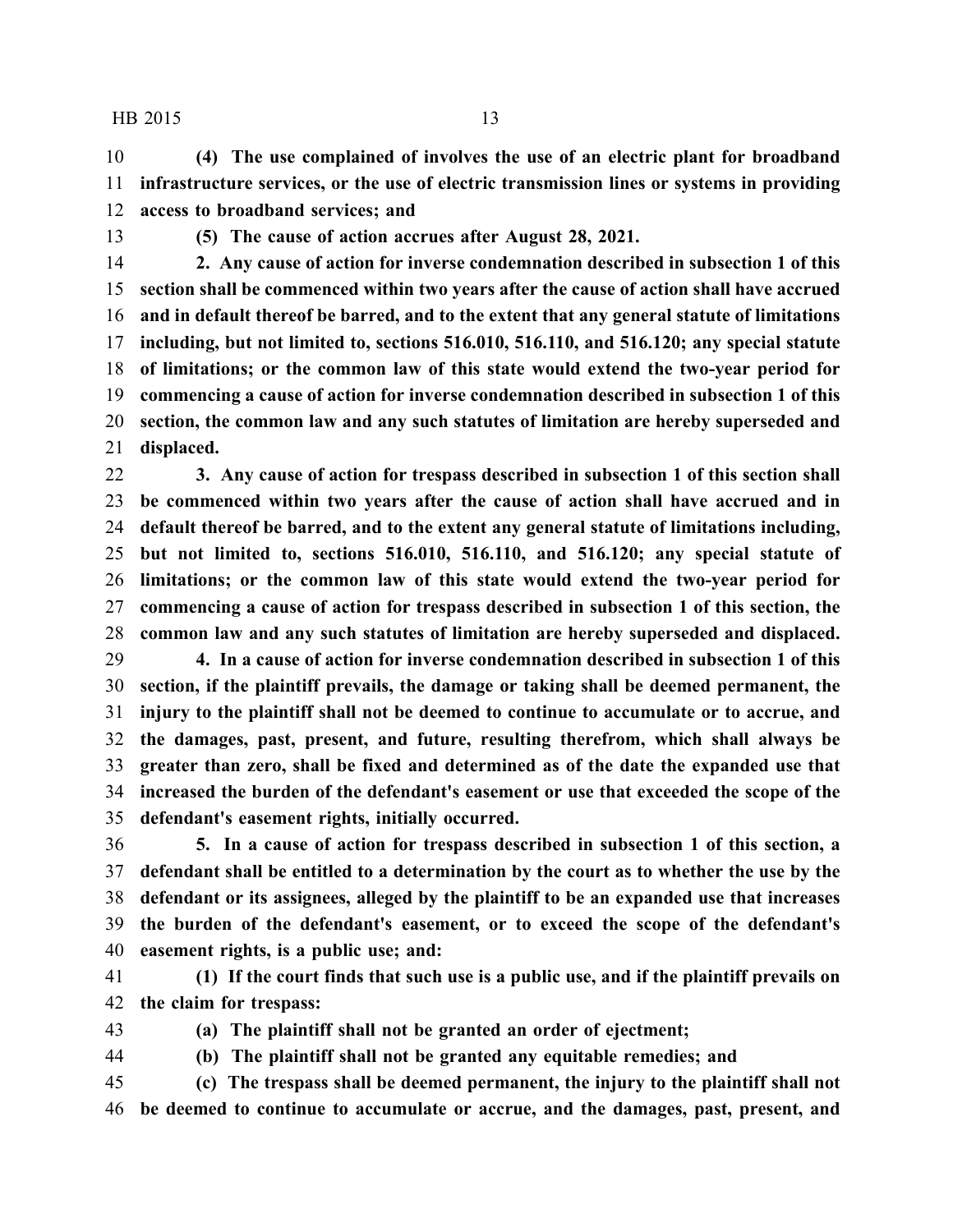**(4) The use complained of involves the use of an electric plant for broadband infrastructure services, or the use of electric transmission lines or systems in providing access to broadband services; and**

**(5) The cause of action accrues after August 28, 2021.**

 **2. Any cause of action for inverse condemnation described in subsection 1 of this section shall be commenced within two years after the cause of action shall have accrued and in default thereof be barred, and to the extent that any general statute of limitations including, but not limited to, sections 516.010, 516.110, and 516.120; any special statute of limitations; or the common law of this state would extend the two-year period for commencing a cause of action for inverse condemnation described in subsection 1 of this section, the common law and any such statutes of limitation are hereby superseded and displaced.**

 **3. Any cause of action for trespass described in subsection 1 of this section shall be commenced within two years after the cause of action shall have accrued and in default thereof be barred, and to the extent any general statute of limitations including, but not limited to, sections 516.010, 516.110, and 516.120; any special statute of limitations; or the common law of this state would extend the two-year period for commencing a cause of action for trespass described in subsection 1 of this section, the common law and any such statutes of limitation are hereby superseded and displaced.**

 **4. In a cause of action for inverse condemnation described in subsection 1 of this section, if the plaintiff prevails, the damage or taking shall be deemed permanent, the injury to the plaintiff shall not be deemed to continue to accumulate or to accrue, and the damages, past, present, and future, resulting therefrom, which shall always be greater than zero, shall be fixed and determined as of the date the expanded use that increased the burden of the defendant's easement or use that exceeded the scope of the defendant's easement rights, initially occurred.**

 **5. In a cause of action for trespass described in subsection 1 of this section, a defendant shall be entitled to a determination by the court as to whether the use by the defendant or its assignees, alleged by the plaintiff to be an expanded use that increases the burden of the defendant's easement, or to exceed the scope of the defendant's easement rights, is a public use; and:**

 **(1) If the court finds that such use is a public use, and if the plaintiff prevails on the claim for trespass:**

**(a) The plaintiff shall not be granted an order of ejectment;**

**(b) The plaintiff shall not be granted any equitable remedies; and**

 **(c) The trespass shall be deemed permanent, the injury to the plaintiff shall not be deemed to continue to accumulate or accrue, and the damages, past, present, and**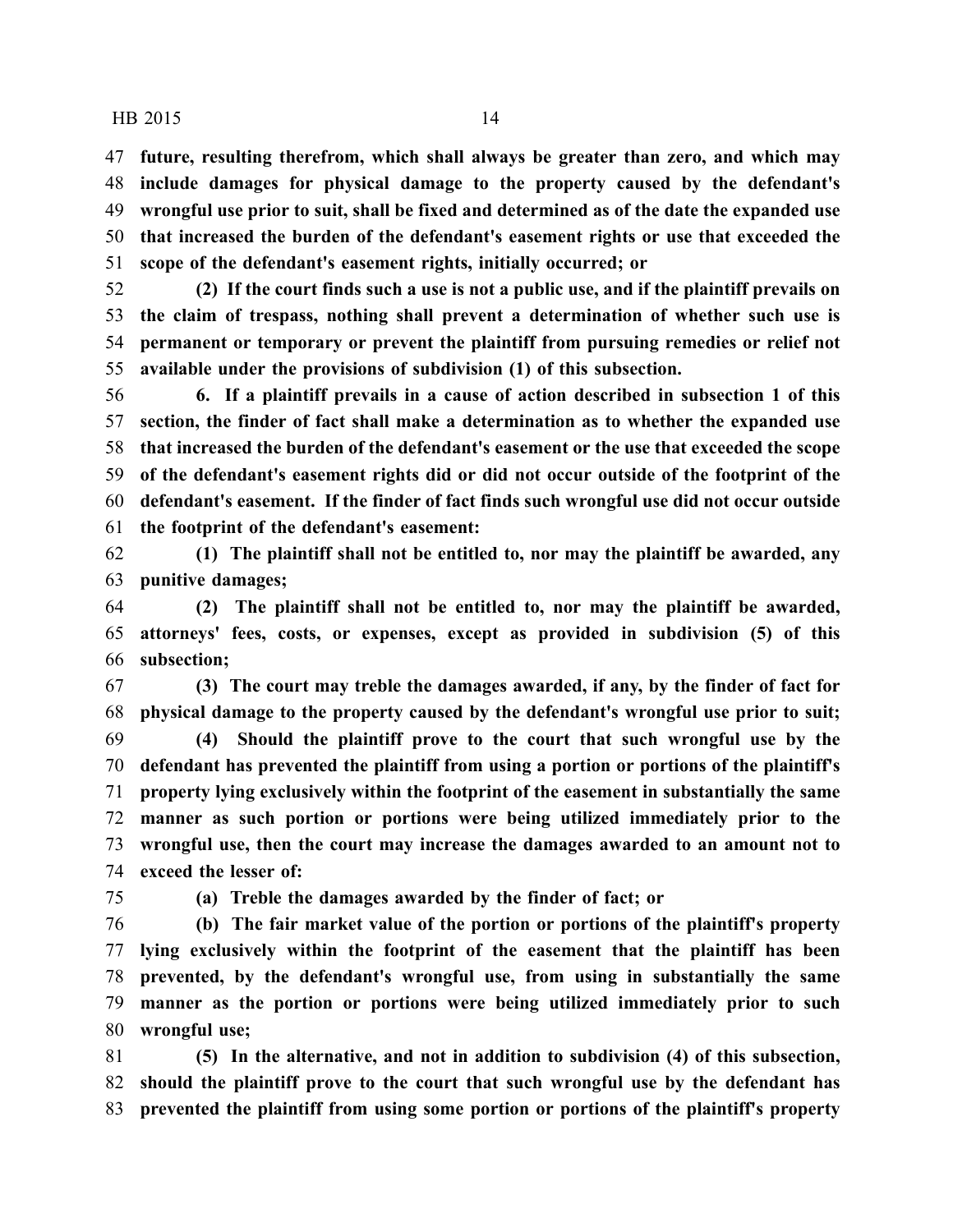**future, resulting therefrom, which shall always be greater than zero, and which may include damages for physical damage to the property caused by the defendant's wrongful use prior to suit, shall be fixed and determined as of the date the expanded use that increased the burden of the defendant's easement rights or use that exceeded the scope of the defendant's easement rights, initially occurred; or**

 **(2) If the court finds such a use is not a public use, and if the plaintiff prevails on the claim of trespass, nothing shall prevent a determination of whether such use is permanent or temporary or prevent the plaintiff from pursuing remedies or relief not available under the provisions of subdivision (1) of this subsection.**

 **6. If a plaintiff prevails in a cause of action described in subsection 1 of this section, the finder of fact shall make a determination as to whether the expanded use that increased the burden of the defendant's easement or the use that exceeded the scope of the defendant's easement rights did or did not occur outside of the footprint of the defendant's easement. If the finder of fact finds such wrongful use did not occur outside the footprint of the defendant's easement:**

 **(1) The plaintiff shall not be entitled to, nor may the plaintiff be awarded, any punitive damages;**

 **(2) The plaintiff shall not be entitled to, nor may the plaintiff be awarded, attorneys' fees, costs, or expenses, except as provided in subdivision (5) of this subsection;**

 **(3) The court may treble the damages awarded, if any, by the finder of fact for physical damage to the property caused by the defendant's wrongful use prior to suit; (4) Should the plaintiff prove to the court that such wrongful use by the defendant has prevented the plaintiff from using a portion or portions of the plaintiff's property lying exclusively within the footprint of the easement in substantially the same manner as such portion or portions were being utilized immediately prior to the wrongful use, then the court may increase the damages awarded to an amount not to exceed the lesser of:**

**(a) Treble the damages awarded by the finder of fact; or**

 **(b) The fair market value of the portion or portions of the plaintiff's property lying exclusively within the footprint of the easement that the plaintiff has been prevented, by the defendant's wrongful use, from using in substantially the same manner as the portion or portions were being utilized immediately prior to such wrongful use;**

 **(5) In the alternative, and not in addition to subdivision (4) of this subsection, should the plaintiff prove to the court that such wrongful use by the defendant has prevented the plaintiff from using some portion or portions of the plaintiff's property**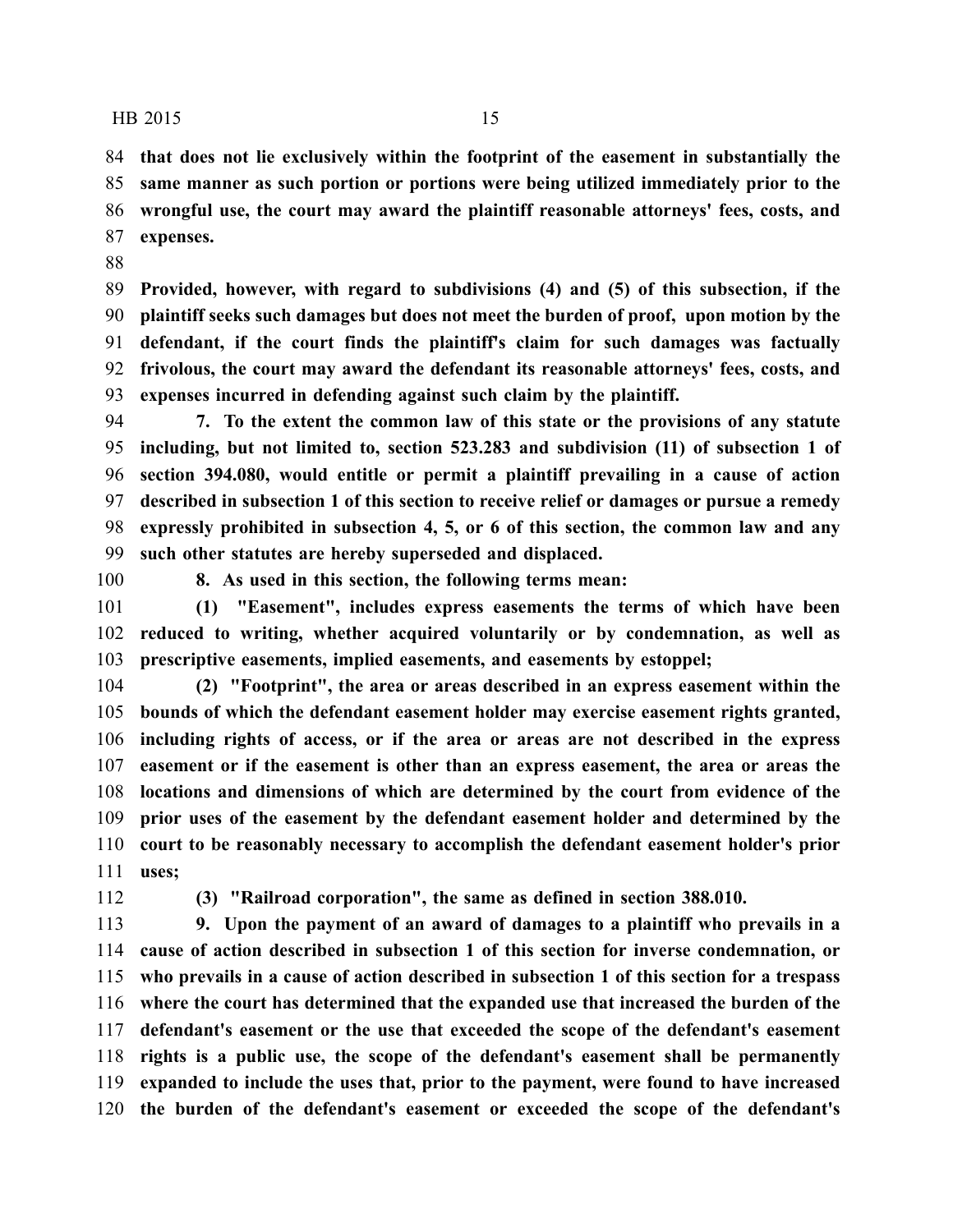**that does not lie exclusively within the footprint of the easement in substantially the same manner as such portion or portions were being utilized immediately prior to the wrongful use, the court may award the plaintiff reasonable attorneys' fees, costs, and expenses.**

 **Provided, however, with regard to subdivisions (4) and (5) of this subsection, if the plaintiff seeks such damages but does not meet the burden of proof, upon motion by the defendant, if the court finds the plaintiff's claim for such damages was factually frivolous, the court may award the defendant its reasonable attorneys' fees, costs, and expenses incurred in defending against such claim by the plaintiff.**

 **7. To the extent the common law of this state or the provisions of any statute including, but not limited to, section 523.283 and subdivision (11) of subsection 1 of section 394.080, would entitle or permit a plaintiff prevailing in a cause of action described in subsection 1 of this section to receive relief or damages or pursue a remedy expressly prohibited in subsection 4, 5, or 6 of this section, the common law and any such other statutes are hereby superseded and displaced.**

**8. As used in this section, the following terms mean:**

 **(1) "Easement", includes express easements the terms of which have been reduced to writing, whether acquired voluntarily or by condemnation, as well as prescriptive easements, implied easements, and easements by estoppel;**

 **(2) "Footprint", the area or areas described in an express easement within the bounds of which the defendant easement holder may exercise easement rights granted, including rights of access, or if the area or areas are not described in the express easement or if the easement is other than an express easement, the area or areas the locations and dimensions of which are determined by the court from evidence of the prior uses of the easement by the defendant easement holder and determined by the court to be reasonably necessary to accomplish the defendant easement holder's prior uses;**

**(3) "Railroad corporation", the same as defined in section 388.010.**

 **9. Upon the payment of an award of damages to a plaintiff who prevails in a cause of action described in subsection 1 of this section for inverse condemnation, or who prevails in a cause of action described in subsection 1 of this section for a trespass where the court has determined that the expanded use that increased the burden of the defendant's easement or the use that exceeded the scope of the defendant's easement rights is a public use, the scope of the defendant's easement shall be permanently expanded to include the uses that, prior to the payment, were found to have increased the burden of the defendant's easement or exceeded the scope of the defendant's**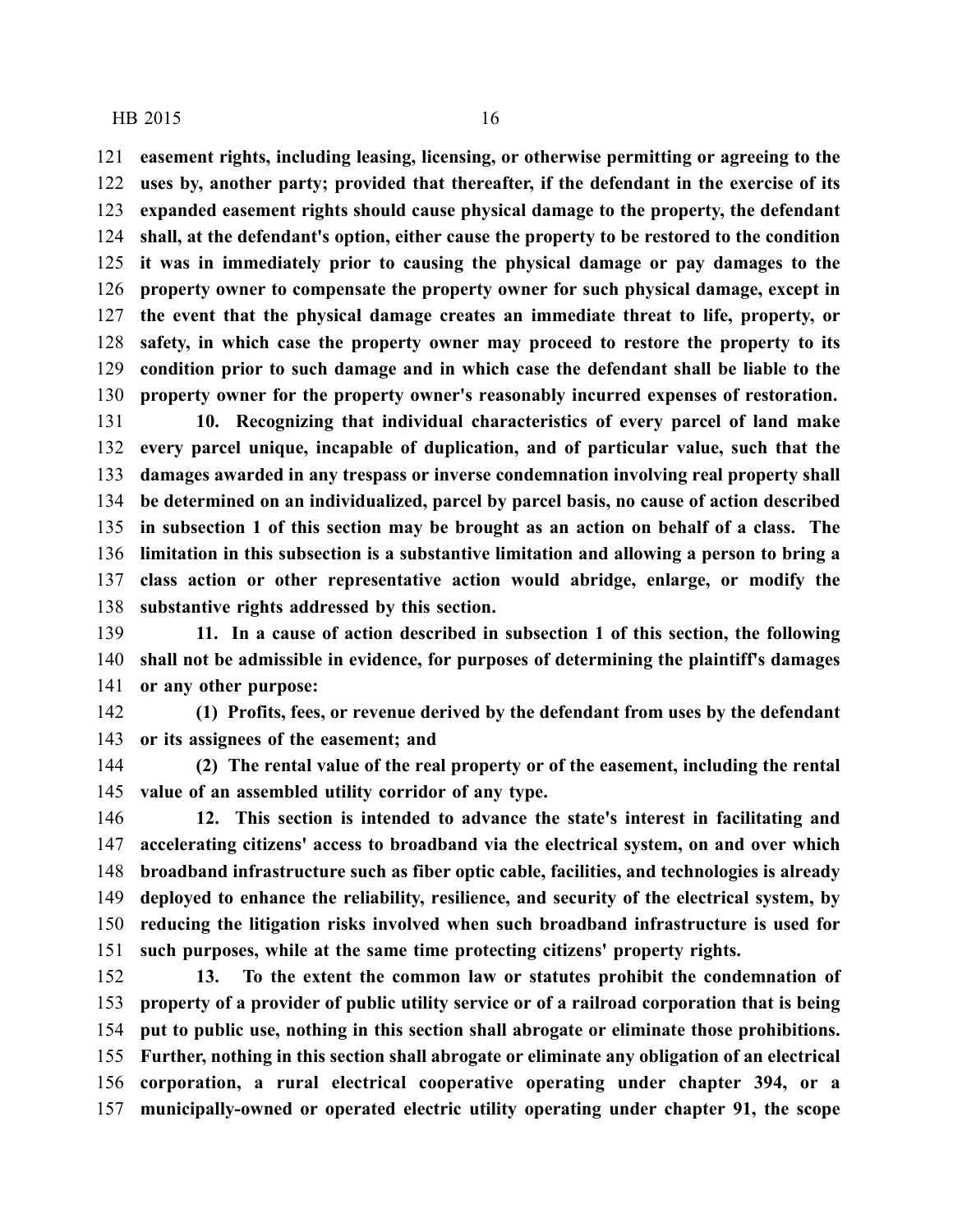**easement rights, including leasing, licensing, or otherwise permitting or agreeing to the uses by, another party; provided that thereafter, if the defendant in the exercise of its expanded easement rights should cause physical damage to the property, the defendant shall, at the defendant's option, either cause the property to be restored to the condition it was in immediately prior to causing the physical damage or pay damages to the property owner to compensate the property owner for such physical damage, except in the event that the physical damage creates an immediate threat to life, property, or safety, in which case the property owner may proceed to restore the property to its condition prior to such damage and in which case the defendant shall be liable to the property owner for the property owner's reasonably incurred expenses of restoration.**

 **10. Recognizing that individual characteristics of every parcel of land make every parcel unique, incapable of duplication, and of particular value, such that the damages awarded in any trespass or inverse condemnation involving real property shall be determined on an individualized, parcel by parcel basis, no cause of action described in subsection 1 of this section may be brought as an action on behalf of a class. The limitation in this subsection is a substantive limitation and allowing a person to bring a class action or other representative action would abridge, enlarge, or modify the substantive rights addressed by this section.**

 **11. In a cause of action described in subsection 1 of this section, the following shall not be admissible in evidence, for purposes of determining the plaintiff's damages or any other purpose:**

 **(1) Profits, fees, or revenue derived by the defendant from uses by the defendant or its assignees of the easement; and**

 **(2) The rental value of the real property or of the easement, including the rental value of an assembled utility corridor of any type.**

 **12. This section is intended to advance the state's interest in facilitating and accelerating citizens' access to broadband via the electrical system, on and over which broadband infrastructure such as fiber optic cable, facilities, and technologies is already deployed to enhance the reliability, resilience, and security of the electrical system, by reducing the litigation risks involved when such broadband infrastructure is used for such purposes, while at the same time protecting citizens' property rights.**

 **13. To the extent the common law or statutes prohibit the condemnation of property of a provider of public utility service or of a railroad corporation that is being put to public use, nothing in this section shall abrogate or eliminate those prohibitions. Further, nothing in this section shall abrogate or eliminate any obligation of an electrical corporation, a rural electrical cooperative operating under chapter 394, or a municipally-owned or operated electric utility operating under chapter 91, the scope**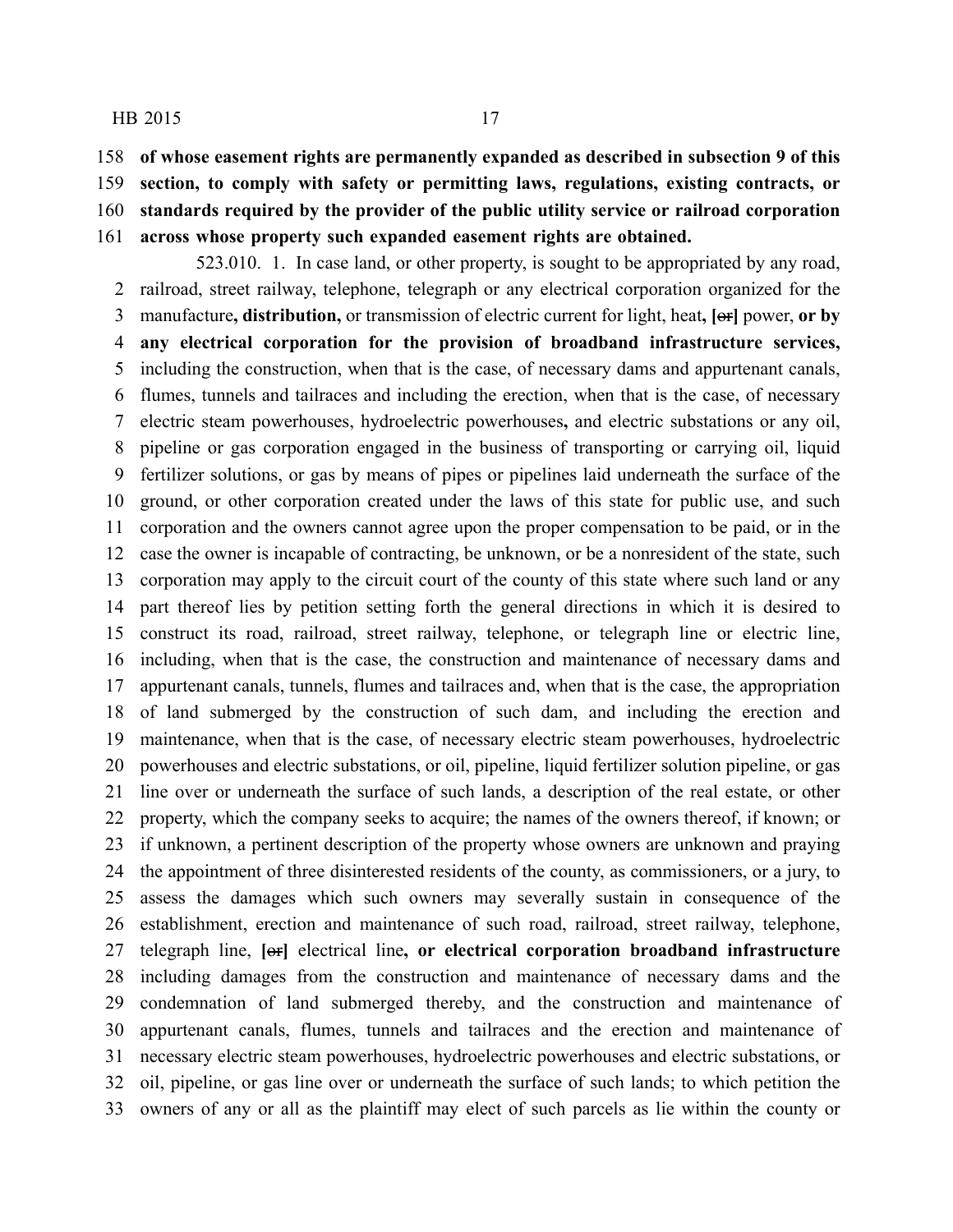**of whose easement rights are permanently expanded as described in subsection 9 of this**

**section, to comply with safety or permitting laws, regulations, existing contracts, or**

**standards required by the provider of the public utility service or railroad corporation**

**across whose property such expanded easement rights are obtained.**

523.010. 1. In case land, or other property, is sought to be appropriated by any road, railroad, street railway, telephone, telegraph or any electrical corporation organized for the manufacture**, distribution,** or transmission of electric current for light, heat**, [**or**]** power, **or by any electrical corporation for the provision of broadband infrastructure services,** including the construction, when that is the case, of necessary dams and appurtenant canals, flumes, tunnels and tailraces and including the erection, when that is the case, of necessary electric steam powerhouses, hydroelectric powerhouses**,** and electric substations or any oil, pipeline or gas corporation engaged in the business of transporting or carrying oil, liquid fertilizer solutions, or gas by means of pipes or pipelines laid underneath the surface of the ground, or other corporation created under the laws of this state for public use, and such corporation and the owners cannot agree upon the proper compensation to be paid, or in the case the owner is incapable of contracting, be unknown, or be a nonresident of the state, such corporation may apply to the circuit court of the county of this state where such land or any part thereof lies by petition setting forth the general directions in which it is desired to construct its road, railroad, street railway, telephone, or telegraph line or electric line, including, when that is the case, the construction and maintenance of necessary dams and appurtenant canals, tunnels, flumes and tailraces and, when that is the case, the appropriation of land submerged by the construction of such dam, and including the erection and maintenance, when that is the case, of necessary electric steam powerhouses, hydroelectric powerhouses and electric substations, or oil, pipeline, liquid fertilizer solution pipeline, or gas line over or underneath the surface of such lands, a description of the real estate, or other property, which the company seeks to acquire; the names of the owners thereof, if known; or if unknown, a pertinent description of the property whose owners are unknown and praying the appointment of three disinterested residents of the county, as commissioners, or a jury, to assess the damages which such owners may severally sustain in consequence of the establishment, erection and maintenance of such road, railroad, street railway, telephone, telegraph line, **[**or**]** electrical line**, or electrical corporation broadband infrastructure** including damages from the construction and maintenance of necessary dams and the condemnation of land submerged thereby, and the construction and maintenance of appurtenant canals, flumes, tunnels and tailraces and the erection and maintenance of necessary electric steam powerhouses, hydroelectric powerhouses and electric substations, or oil, pipeline, or gas line over or underneath the surface of such lands; to which petition the owners of any or all as the plaintiff may elect of such parcels as lie within the county or